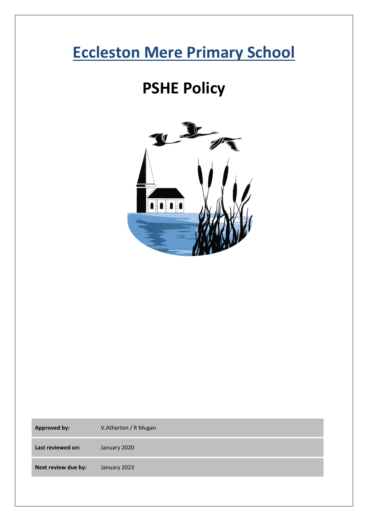# **Eccleston Mere Primary School**

# **PSHE Policy**



| <b>Approved by:</b> | V.Atherton / R Mugan |
|---------------------|----------------------|
| Last reviewed on:   | January 2020         |
| Next review due by: | January 2023         |
|                     |                      |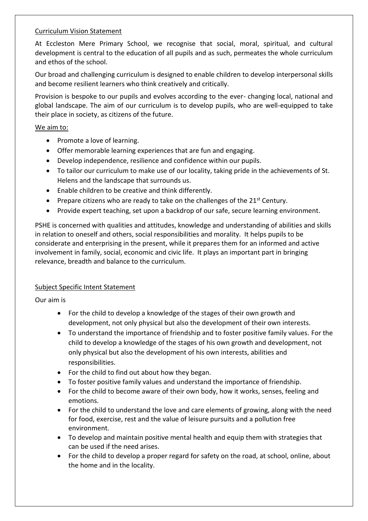# Curriculum Vision Statement

At Eccleston Mere Primary School, we recognise that social, moral, spiritual, and cultural development is central to the education of all pupils and as such, permeates the whole curriculum and ethos of the school.

Our broad and challenging curriculum is designed to enable children to develop interpersonal skills and become resilient learners who think creatively and critically.

Provision is bespoke to our pupils and evolves according to the ever- changing local, national and global landscape. The aim of our curriculum is to develop pupils, who are well-equipped to take their place in society, as citizens of the future.

# We aim to:

- Promote a love of learning.
- Offer memorable learning experiences that are fun and engaging.
- Develop independence, resilience and confidence within our pupils.
- To tailor our curriculum to make use of our locality, taking pride in the achievements of St. Helens and the landscape that surrounds us.
- Enable children to be creative and think differently.
- Prepare citizens who are ready to take on the challenges of the  $21<sup>st</sup>$  Century.
- Provide expert teaching, set upon a backdrop of our safe, secure learning environment.

PSHE is concerned with qualities and attitudes, knowledge and understanding of abilities and skills in relation to oneself and others, social responsibilities and morality. It helps pupils to be considerate and enterprising in the present, while it prepares them for an informed and active involvement in family, social, economic and civic life. It plays an important part in bringing relevance, breadth and balance to the curriculum.

# Subject Specific Intent Statement

Our aim is

- For the child to develop a knowledge of the stages of their own growth and development, not only physical but also the development of their own interests.
- To understand the importance of friendship and to foster positive family values. For the child to develop a knowledge of the stages of his own growth and development, not only physical but also the development of his own interests, abilities and responsibilities.
- For the child to find out about how they began.
- To foster positive family values and understand the importance of friendship.
- For the child to become aware of their own body, how it works, senses, feeling and emotions.
- For the child to understand the love and care elements of growing, along with the need for food, exercise, rest and the value of leisure pursuits and a pollution free environment.
- To develop and maintain positive mental health and equip them with strategies that can be used if the need arises.
- For the child to develop a proper regard for safety on the road, at school, online, about the home and in the locality.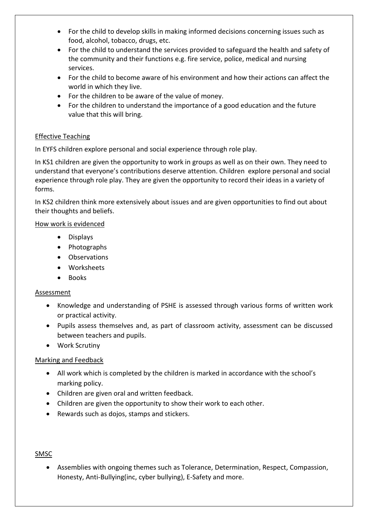- For the child to develop skills in making informed decisions concerning issues such as food, alcohol, tobacco, drugs, etc.
- For the child to understand the services provided to safeguard the health and safety of the community and their functions e.g. fire service, police, medical and nursing services.
- For the child to become aware of his environment and how their actions can affect the world in which they live.
- For the children to be aware of the value of money.
- For the children to understand the importance of a good education and the future value that this will bring.

# Effective Teaching

In EYFS children explore personal and social experience through role play.

In KS1 children are given the opportunity to work in groups as well as on their own. They need to understand that everyone's contributions deserve attention. Children explore personal and social experience through role play. They are given the opportunity to record their ideas in a variety of forms.

In KS2 children think more extensively about issues and are given opportunities to find out about their thoughts and beliefs.

#### How work is evidenced

- Displays
- Photographs
- Observations
- Worksheets
- Books

#### Assessment

- Knowledge and understanding of PSHE is assessed through various forms of written work or practical activity.
- Pupils assess themselves and, as part of classroom activity, assessment can be discussed between teachers and pupils.
- Work Scrutiny

# Marking and Feedback

- All work which is completed by the children is marked in accordance with the school's marking policy.
- Children are given oral and written feedback.
- Children are given the opportunity to show their work to each other.
- Rewards such as dojos, stamps and stickers.

# SMSC

• Assemblies with ongoing themes such as Tolerance, Determination, Respect, Compassion, Honesty, Anti-Bullying(inc, cyber bullying), E-Safety and more.